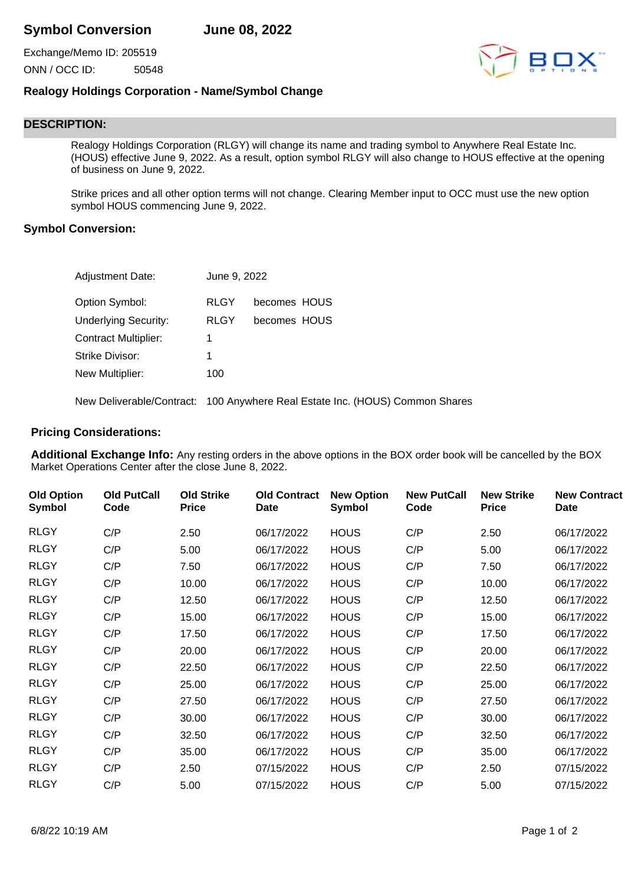Exchange/Memo ID: 205519 ONN / OCC ID: 50548



## **Realogy Holdings Corporation - Name/Symbol Change**

## **DESCRIPTION:**

Realogy Holdings Corporation (RLGY) will change its name and trading symbol to Anywhere Real Estate Inc. (HOUS) effective June 9, 2022. As a result, option symbol RLGY will also change to HOUS effective at the opening of business on June 9, 2022.

Strike prices and all other option terms will not change. Clearing Member input to OCC must use the new option symbol HOUS commencing June 9, 2022.

## **Symbol Conversion:**

| Adjustment Date:            | June 9, 2022 |                                                                              |
|-----------------------------|--------------|------------------------------------------------------------------------------|
| Option Symbol:              | RLGY         | becomes HOUS                                                                 |
| <b>Underlying Security:</b> | <b>RLGY</b>  | becomes HOUS                                                                 |
| <b>Contract Multiplier:</b> | 1            |                                                                              |
| Strike Divisor:             |              |                                                                              |
| New Multiplier:             | 100          |                                                                              |
|                             |              | New Deliverable/Contract: 100 Anywhere Real Estate Inc. (HOUS) Common Shares |

## **Pricing Considerations:**

**Additional Exchange Info:** Any resting orders in the above options in the BOX order book will be cancelled by the BOX Market Operations Center after the close June 8, 2022.

| <b>Old Option</b><br><b>Symbol</b> | <b>Old PutCall</b><br>Code | <b>Old Strike</b><br><b>Price</b> | <b>Old Contract</b><br>Date | <b>New Option</b><br>Symbol | <b>New PutCall</b><br>Code | <b>New Strike</b><br><b>Price</b> | <b>New Contract</b><br>Date |
|------------------------------------|----------------------------|-----------------------------------|-----------------------------|-----------------------------|----------------------------|-----------------------------------|-----------------------------|
| <b>RLGY</b>                        | C/P                        | 2.50                              | 06/17/2022                  | <b>HOUS</b>                 | C/P                        | 2.50                              | 06/17/2022                  |
| <b>RLGY</b>                        | C/P                        | 5.00                              | 06/17/2022                  | <b>HOUS</b>                 | C/P                        | 5.00                              | 06/17/2022                  |
| <b>RLGY</b>                        | C/P                        | 7.50                              | 06/17/2022                  | <b>HOUS</b>                 | C/P                        | 7.50                              | 06/17/2022                  |
| <b>RLGY</b>                        | C/P                        | 10.00                             | 06/17/2022                  | <b>HOUS</b>                 | C/P                        | 10.00                             | 06/17/2022                  |
| <b>RLGY</b>                        | C/P                        | 12.50                             | 06/17/2022                  | <b>HOUS</b>                 | C/P                        | 12.50                             | 06/17/2022                  |
| <b>RLGY</b>                        | C/P                        | 15.00                             | 06/17/2022                  | <b>HOUS</b>                 | C/P                        | 15.00                             | 06/17/2022                  |
| <b>RLGY</b>                        | C/P                        | 17.50                             | 06/17/2022                  | <b>HOUS</b>                 | C/P                        | 17.50                             | 06/17/2022                  |
| <b>RLGY</b>                        | C/P                        | 20.00                             | 06/17/2022                  | <b>HOUS</b>                 | C/P                        | 20.00                             | 06/17/2022                  |
| <b>RLGY</b>                        | C/P                        | 22.50                             | 06/17/2022                  | <b>HOUS</b>                 | C/P                        | 22.50                             | 06/17/2022                  |
| <b>RLGY</b>                        | C/P                        | 25.00                             | 06/17/2022                  | <b>HOUS</b>                 | C/P                        | 25.00                             | 06/17/2022                  |
| <b>RLGY</b>                        | C/P                        | 27.50                             | 06/17/2022                  | <b>HOUS</b>                 | C/P                        | 27.50                             | 06/17/2022                  |
| <b>RLGY</b>                        | C/P                        | 30.00                             | 06/17/2022                  | <b>HOUS</b>                 | C/P                        | 30.00                             | 06/17/2022                  |
| <b>RLGY</b>                        | C/P                        | 32.50                             | 06/17/2022                  | <b>HOUS</b>                 | C/P                        | 32.50                             | 06/17/2022                  |
| <b>RLGY</b>                        | C/P                        | 35.00                             | 06/17/2022                  | <b>HOUS</b>                 | C/P                        | 35.00                             | 06/17/2022                  |
| <b>RLGY</b>                        | C/P                        | 2.50                              | 07/15/2022                  | <b>HOUS</b>                 | C/P                        | 2.50                              | 07/15/2022                  |
| <b>RLGY</b>                        | C/P                        | 5.00                              | 07/15/2022                  | <b>HOUS</b>                 | C/P                        | 5.00                              | 07/15/2022                  |